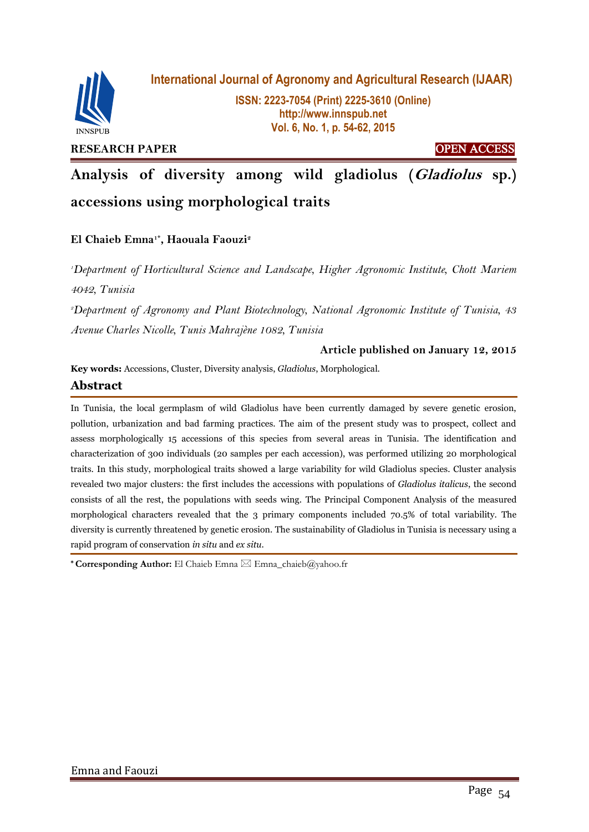

**International Journal of Agronomy and Agricultural Research (IJAAR)**

**ISSN: 2223-7054 (Print) 2225-3610 (Online) http://www.innspub.net Vol. 6, No. 1, p. 54-62, 2015**

**RESEARCH PAPER CONSIDERED ACCESS** 

**Analysis of diversity among wild gladiolus (Gladiolus sp.) accessions using morphological traits**

# **El Chaieb Emna1\* , Haouala Faouzi<sup>2</sup>**

*<sup>1</sup>Department of Horticultural Science and Landscape, Higher Agronomic Institute, Chott Mariem 4042, Tunisia*

*<sup>2</sup>Department of Agronomy and Plant Biotechnology, National Agronomic Institute of Tunisia, 43 Avenue Charles Nicolle, Tunis Mahrajène 1082, Tunisia*

## **Article published on January 12, 2015**

**Key words:** Accessions, Cluster, Diversity analysis, *Gladiolus*, Morphological.

## **Abstract**

In Tunisia, the local germplasm of wild Gladiolus have been currently damaged by severe genetic erosion, pollution, urbanization and bad farming practices. The aim of the present study was to prospect, collect and assess morphologically 15 accessions of this species from several areas in Tunisia. The identification and characterization of 300 individuals (20 samples per each accession), was performed utilizing 20 morphological traits. In this study, morphological traits showed a large variability for wild Gladiolus species. Cluster analysis revealed two major clusters: the first includes the accessions with populations of *Gladiolus italicus*, the second consists of all the rest, the populations with seeds wing. The Principal Component Analysis of the measured morphological characters revealed that the 3 primary components included 70.5% of total variability. The diversity is currently threatened by genetic erosion. The sustainability of Gladiolus in Tunisia is necessary using a rapid program of conservation *in situ* and *ex situ*.

**\* Corresponding Author:** El Chaieb Emna Emna\_chaieb@yahoo.fr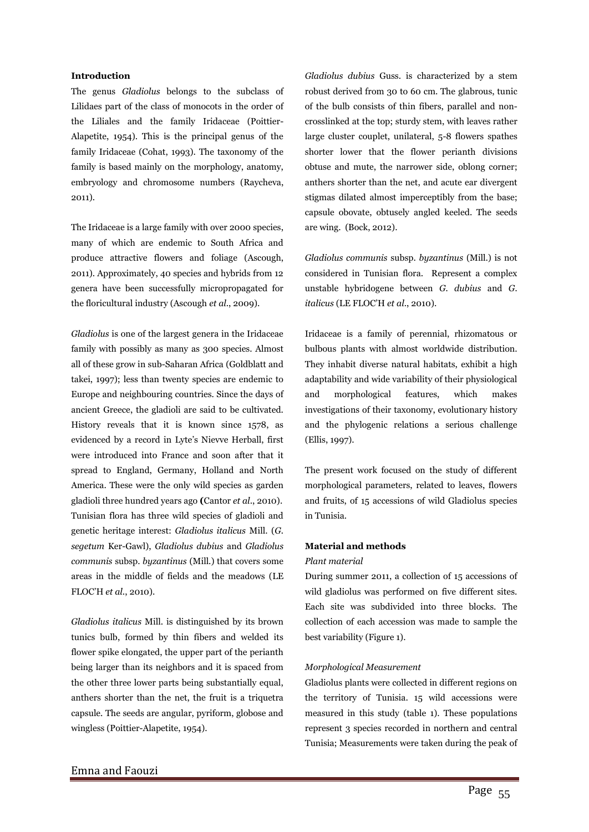## **Introduction**

The genus *Gladiolus* belongs to the subclass of Lilidaes part of the class of monocots in the order of the Liliales and the family Iridaceae (Poittier-Alapetite, 1954). This is the principal genus of the family Iridaceae (Cohat, 1993). The taxonomy of the family is based mainly on the morphology, anatomy, embryology and chromosome numbers (Raycheva, 2011).

The Iridaceae is a large family with over 2000 species, many of which are endemic to South Africa and produce attractive flowers and foliage (Ascough, 2011). Approximately, 40 species and hybrids from 12 genera have been successfully micropropagated for the floricultural industry (Ascough *et al*., 2009).

*Gladiolus* is one of the largest genera in the Iridaceae family with possibly as many as 300 species. Almost all of these grow in sub-Saharan Africa (Goldblatt and takei, 1997); less than twenty species are endemic to Europe and neighbouring countries. Since the days of ancient Greece, the gladioli are said to be cultivated. History reveals that it is known since 1578, as evidenced by a record in Lyte's Nievve Herball, first were introduced into France and soon after that it spread to England, Germany, Holland and North America. These were the only wild species as garden gladioli three hundred years ago **(**Cantor *et al*., 2010). Tunisian flora has three wild species of gladioli and genetic heritage interest: *Gladiolus italicus* Mill. (*G. segetum* Ker-Gawl), *Gladiolus dubius* and *Gladiolus communis* subsp. *byzantinus* (Mill.) that covers some areas in the middle of fields and the meadows (LE FLOC'H *et al*., 2010).

*Gladiolus italicus* Mill. is distinguished by its brown tunics bulb, formed by thin fibers and welded its flower spike elongated, the upper part of the perianth being larger than its neighbors and it is spaced from the other three lower parts being substantially equal, anthers shorter than the net, the fruit is a triquetra capsule. The seeds are angular, pyriform, globose and wingless (Poittier-Alapetite, 1954).

*Gladiolus dubius* Guss. is characterized by a stem robust derived from 30 to 60 cm. The glabrous, tunic of the bulb consists of thin fibers, parallel and noncrosslinked at the top; sturdy stem, with leaves rather large cluster couplet, unilateral, 5-8 flowers spathes shorter lower that the flower perianth divisions obtuse and mute, the narrower side, oblong corner; anthers shorter than the net, and acute ear divergent stigmas dilated almost imperceptibly from the base; capsule obovate, obtusely angled keeled. The seeds are wing. (Bock, 2012).

*Gladiolus communis* subsp. *byzantinus* (Mill.) is not considered in Tunisian flora. Represent a complex unstable hybridogene between *G. dubius* and *G. italicus* (LE FLOC'H *et al*., 2010).

Iridaceae is a family of perennial, rhizomatous or bulbous plants with almost worldwide distribution. They inhabit diverse natural habitats, exhibit a high adaptability and wide variability of their physiological and morphological features, which makes investigations of their taxonomy, evolutionary history and the phylogenic relations a serious challenge (Ellis, 1997).

The present work focused on the study of different morphological parameters, related to leaves, flowers and fruits, of 15 accessions of wild Gladiolus species in Tunisia.

### **Material and methods**

#### *Plant material*

During summer 2011, a collection of 15 accessions of wild gladiolus was performed on five different sites. Each site was subdivided into three blocks. The collection of each accession was made to sample the best variability (Figure 1).

### *Morphological Measurement*

Gladiolus plants were collected in different regions on the territory of Tunisia. 15 wild accessions were measured in this study (table 1). These populations represent 3 species recorded in northern and central Tunisia; Measurements were taken during the peak of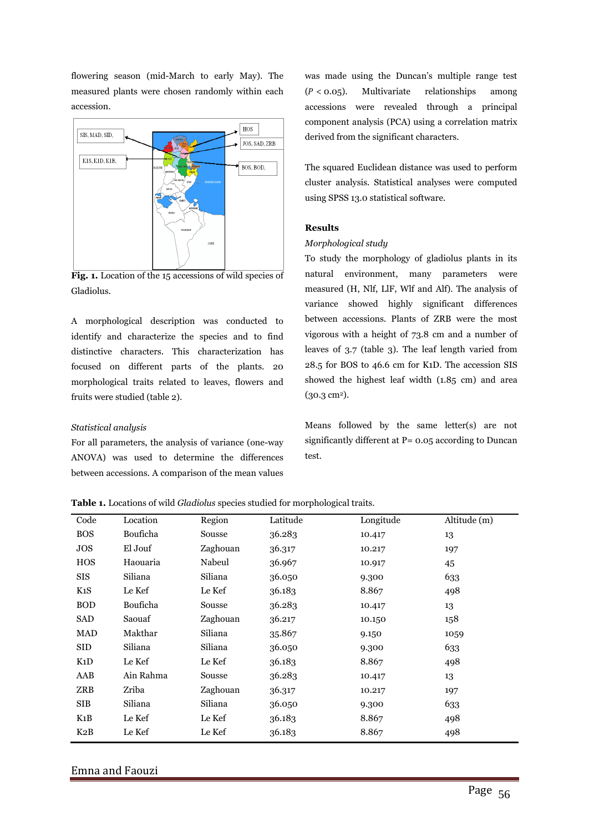flowering season (mid-March to early May). The measured plants were chosen randomly within each accession.



**Fig. 1.** Location of the 15 accessions of wild species of Gladiolus.

A morphological description was conducted to identify and characterize the species and to find distinctive characters. This characterization has focused on different parts of the plants. 20 morphological traits related to leaves, flowers and fruits were studied (table 2).

## *Statistical analysis*

For all parameters, the analysis of variance (one-way ANOVA) was used to determine the differences between accessions. A comparison of the mean values was made using the Duncan's multiple range test  $(P < 0.05)$ . Multivariate relationships among accessions were revealed through a principal component analysis (PCA) using a correlation matrix derived from the significant characters.

The squared Euclidean distance was used to perform cluster analysis. Statistical analyses were computed using SPSS 13.0 statistical software.

## **Results**

## *Morphological study*

To study the morphology of gladiolus plants in its natural environment, many parameters were measured (H, Nlf, LlF, Wlf and Alf). The analysis of variance showed highly significant differences between accessions. Plants of ZRB were the most vigorous with a height of 73.8 cm and a number of leaves of 3.7 (table 3). The leaf length varied from 28.5 for BOS to 46.6 cm for K1D. The accession SIS showed the highest leaf width (1.85 cm) and area  $(30.3 \text{ cm}^2).$ 

Means followed by the same letter(s) are not significantly different at  $P = 0.05$  according to Duncan test.

## **Table 1.** Locations of wild *Gladiolus* species studied for morphological traits.

| Code       | Location  | Region   | Latitude | Longitude | Altitude (m) |
|------------|-----------|----------|----------|-----------|--------------|
| <b>BOS</b> | Bouficha  | Sousse   | 36.283   | 10.417    | 13           |
| JOS        | El Jouf   | Zaghouan | 36.317   | 10.217    | 197          |
| <b>HOS</b> | Haouaria  | Nabeul   | 36.967   | 10.917    | 45           |
| SIS        | Siliana   | Siliana  | 36.050   | 9.300     | 633          |
| K1S        | Le Kef    | Le Kef   | 36.183   | 8.867     | 498          |
| <b>BOD</b> | Bouficha  | Sousse   | 36.283   | 10.417    | 13           |
| SAD        | Saouaf    | Zaghouan | 36.217   | 10.150    | 158          |
| MAD        | Makthar   | Siliana  | 35.867   | 9.150     | 1059         |
| SID        | Siliana   | Siliana  | 36.050   | 9.300     | 633          |
| K1D        | Le Kef    | Le Kef   | 36.183   | 8.867     | 498          |
| AAB        | Ain Rahma | Sousse   | 36.283   | 10.417    | 13           |
| ZRB        | Zriba     | Zaghouan | 36.317   | 10.217    | 197          |
| <b>SIB</b> | Siliana   | Siliana  | 36.050   | 9.300     | 633          |
| K1B        | Le Kef    | Le Kef   | 36.183   | 8.867     | 498          |
| K2B        | Le Kef    | Le Kef   | 36.183   | 8.867     | 498          |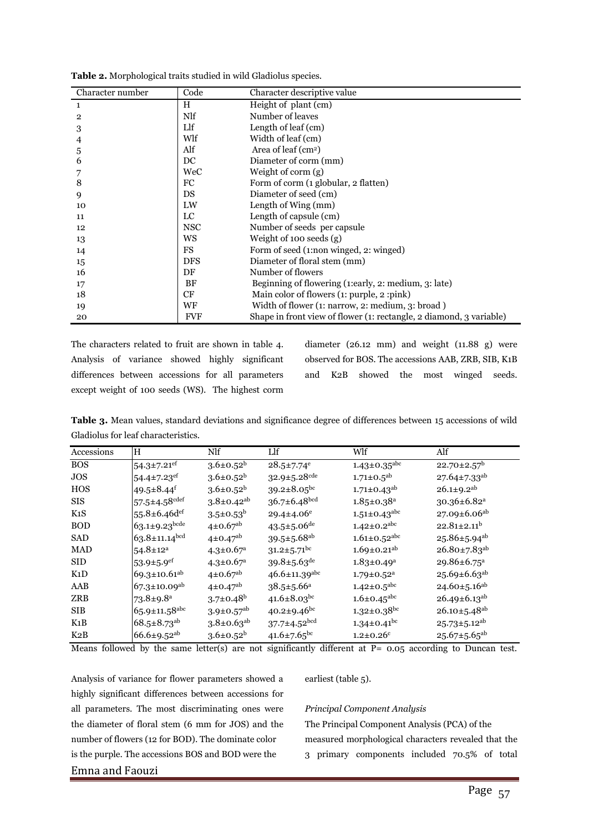| Character number | Code       | Character descriptive value                                         |
|------------------|------------|---------------------------------------------------------------------|
| 1                | H          | Height of plant (cm)                                                |
| 2                | Nlf        | Number of leaves                                                    |
| 3                | Llf        | Length of leaf (cm)                                                 |
| 4                | Wlf        | Width of leaf (cm)                                                  |
| 5                | Alf        | Area of leaf $(cm2)$                                                |
| 6                | DC         | Diameter of corm (mm)                                               |
|                  | WeC        | Weight of corm $(g)$                                                |
| 8                | FC         | Form of corm (1 globular, 2 flatten)                                |
| 9                | DS         | Diameter of seed (cm)                                               |
| 10               | LW         | Length of Wing (mm)                                                 |
| 11               | LC         | Length of capsule (cm)                                              |
| 12               | <b>NSC</b> | Number of seeds per capsule.                                        |
| 13               | <b>WS</b>  | Weight of 100 seeds $(g)$                                           |
| 14               | <b>FS</b>  | Form of seed (1:non winged, 2: winged)                              |
| 15               | <b>DFS</b> | Diameter of floral stem (mm)                                        |
| 16               | DF         | Number of flowers                                                   |
| 17               | BF         | Beginning of flowering (1:early, 2: medium, 3: late)                |
| 18               | CF         | Main color of flowers (1: purple, 2: pink)                          |
| 19               | WF         | Width of flower (1: narrow, 2: medium, 3: broad)                    |
| 20               | <b>FVF</b> | Shape in front view of flower (1: rectangle, 2 diamond, 3 variable) |

**Table 2.** Morphological traits studied in wild Gladiolus species.

The characters related to fruit are shown in table 4. Analysis of variance showed highly significant differences between accessions for all parameters except weight of 100 seeds (WS). The highest corm diameter (26.12 mm) and weight (11.88 g) were observed for BOS. The accessions AAB, ZRB, SIB, K1B and K2B showed the most winged seeds.

**Table 3.** Mean values, standard deviations and significance degree of differences between 15 accessions of wild Gladiolus for leaf characteristics.

| Accessions       | H                              | Nlf                          | Llf                           | Wlf                            | Alf                            |
|------------------|--------------------------------|------------------------------|-------------------------------|--------------------------------|--------------------------------|
| <b>BOS</b>       | $54.3 \pm 7.21$ <sup>ef</sup>  | $3.6 \pm 0.52^b$             | $28.5 \pm 7.74$ <sup>e</sup>  | $1.43 \pm 0.35$ <sup>abc</sup> | $22.70 \pm 2.57^b$             |
| <b>JOS</b>       | $54.4 \pm 7.23$ <sup>ef</sup>  | $3.6 \pm 0.52^b$             | $32.9 \pm 5.28$ cde           | $1.71 \pm 0.5$ <sup>ab</sup>   | $27.64 \pm 7.33$ <sup>ab</sup> |
| <b>HOS</b>       | 49.5±8.44f                     | $3.6 \pm 0.52^b$             | $39.2 \pm 8.05$ bc            | $1.71 \pm 0.43$ <sup>ab</sup>  | $26.1 \pm 9.2$ <sup>ab</sup>   |
| <b>SIS</b>       | $57.5 \pm 4.58$ cdef           | $3.8 \pm 0.42$ <sup>ab</sup> | $36.7 \pm 6.48$ bcd           | $1.85 \pm 0.38$ <sup>a</sup>   | $30.36 \pm 6.82$ <sup>a</sup>  |
| K <sub>1</sub> S | $55.8 \pm 6.46$ def            | $3.5 \pm 0.53^b$             | $29.4 \pm 4.06^e$             | $1.51 \pm 0.43$ <sup>abc</sup> | 27.09±6.06 <sup>ab</sup>       |
| <b>BOD</b>       | $63.1 \pm 9.23$ bcde           | $4\pm 0.67^{ab}$             | $43.5 \pm 5.06$ de            | $1.42 \pm 0.2$ <sup>abc</sup>  | $22.81 \pm 2.11^b$             |
| <b>SAD</b>       | $63.8 \pm 11.14$ bcd           | $4\pm 0.47^{ab}$             | $39.5 \pm 5.68$ <sup>ab</sup> | $1.61 \pm 0.52$ <sup>abc</sup> | 25.86±5.94 <sup>ab</sup>       |
| <b>MAD</b>       | $54.8 \pm 12^a$                | $4.3 \pm 0.67$ <sup>a</sup>  | $31.2 \pm 5.71$ <sup>bc</sup> | $1.69 \pm 0.21$ <sup>ab</sup>  | $26.80 \pm 7.83$ <sup>ab</sup> |
| <b>SID</b>       | 53.9 $\pm$ 5.9 <sup>ef</sup>   | $4.3 \pm 0.67$ <sup>a</sup>  | $39.8 \pm 5.63$ <sup>de</sup> | $1.83 \pm 0.49$ <sup>a</sup>   | 29.86±6.75 <sup>a</sup>        |
| K1D              | $69.3 \pm 10.61^{ab}$          | $4\pm 0.67$ <sup>ab</sup>    | $46.6 \pm 11.39$ abc          | $1.79 \pm 0.52$ <sup>a</sup>   | $25.69 \pm 6.63^{ab}$          |
| AAB              | $67.3 \pm 10.09$ <sup>ab</sup> | $4\pm 0.47^{ab}$             | $38.5 \pm 5.66^a$             | $1.42 \pm 0.5$ <sup>abc</sup>  | $24.60 \pm 5.16$ <sup>ab</sup> |
| <b>ZRB</b>       | $73.8 \pm 9.8^{\rm a}$         | $3.7 \pm 0.48$ <sup>b</sup>  | 41.6 $\pm$ 8.03 <sup>bc</sup> | $1.6 \pm 0.45$ <sup>abc</sup>  | $26.49 \pm 6.13^{ab}$          |
| <b>SIB</b>       | 65.9±11.58abc                  | $3.9 \pm 0.57$ <sup>ab</sup> | $40.2 \pm 9.46$ <sup>bc</sup> | $1.32 \pm 0.38$ bc             | $26.10 \pm 5.48$ <sup>ab</sup> |
| K1B              | $68.5 \pm 8.73$ <sup>ab</sup>  | $3.8 \pm 0.63^{ab}$          | $37.7 \pm 4.52^{bcd}$         | $1.34 \pm 0.41$ <sup>bc</sup>  | $25.73 \pm 5.12^{ab}$          |
| K2B              | $66.6 \pm 9.52$ <sup>ab</sup>  | $3.6 \pm 0.52^b$             | $41.6 \pm 7.65$ <sup>bc</sup> | $1.2 \pm 0.26^c$               | $25.67 \pm 5.65$ <sup>ab</sup> |

Means followed by the same letter(s) are not significantly different at  $P= 0.05$  according to Duncan test.

Emna and Faouzi Analysis of variance for flower parameters showed a highly significant differences between accessions for all parameters. The most discriminating ones were the diameter of floral stem (6 mm for JOS) and the number of flowers (12 for BOD). The dominate color is the purple. The accessions BOS and BOD were the

earliest (table 5).

## *Principal Component Analysis*

The Principal Component Analysis (PCA) of the measured morphological characters revealed that the 3 primary components included 70.5% of total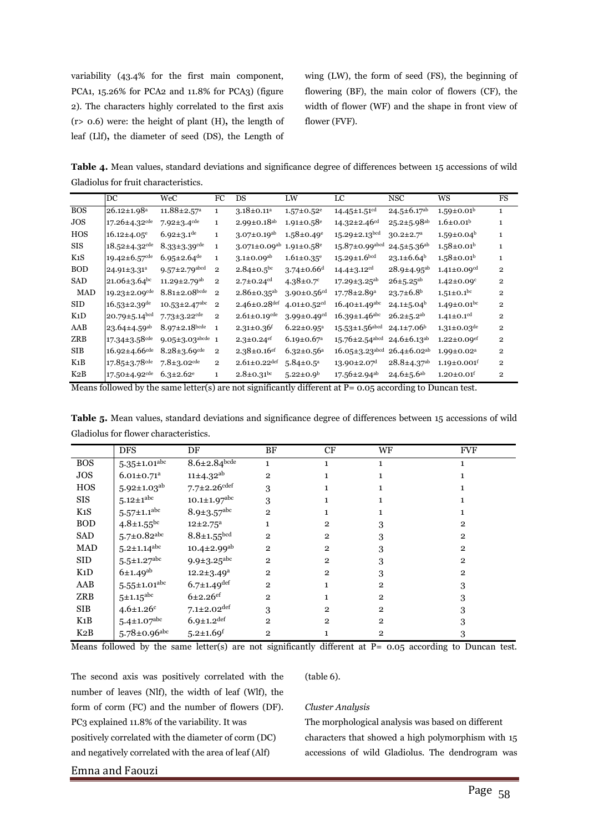variability (43.4% for the first main component, PCA1, 15.26% for PCA2 and 11.8% for PCA3) (figure 2). The characters highly correlated to the first axis (r> 0.6) were: the height of plant (H)**,** the length of leaf (Llf)**,** the diameter of seed (DS), the Length of wing (LW), the form of seed (FS), the beginning of flowering (BF), the main color of flowers (CF), the width of flower (WF) and the shape in front view of flower (FVF).

**Table 4.** Mean values, standard deviations and significance degree of differences between 15 accessions of wild Gladiolus for fruit characteristics.

|                  | DC                              | WeC                             | FC             | DS                             | LW                            | LC                               | <b>NSC</b>                    | WS                            | FS             |
|------------------|---------------------------------|---------------------------------|----------------|--------------------------------|-------------------------------|----------------------------------|-------------------------------|-------------------------------|----------------|
| <b>BOS</b>       | $26.12 \pm 1.98$ <sup>a</sup>   | $11.88 \pm 2.57$ <sup>a</sup>   | $\mathbf{1}$   | $3.18 \pm 0.11$ <sup>a</sup>   | $1.57 \pm 0.52$ <sup>e</sup>  | $14.45 \pm 1.51$ <sup>cd</sup>   | $24.5 \pm 6.17$ <sup>ab</sup> | $1.59 \pm 0.01^{\rm b}$       | $\mathbf{1}$   |
| <b>JOS</b>       | $17.26 \pm 4.32$ <sup>cde</sup> | $7.92 \pm 3.4$ <sup>cde</sup>   | $\mathbf{1}$   | $2.99 \pm 0.18$ <sup>ab</sup>  | $1.91 \pm 0.58$ <sup>e</sup>  | $14.32 \pm 2.46$ <sup>cd</sup>   | $25.2 \pm 5.98^{ab}$          | $1.6 \pm 0.01$ <sup>b</sup>   | 1              |
| <b>HOS</b>       | $16.12{\pm}4.05^e$              | $6.92 \pm 3.1^{\text{de}}$      | $\mathbf{1}$   | $3.07 \pm 0.19$ <sup>ab</sup>  | $1.58 \pm 0.49$ <sup>e</sup>  | $15.29 \pm 2.13$ <sup>bcd</sup>  | $30.2 \pm 2.7$ <sup>a</sup>   | $1.59 \pm 0.04^b$             | $\mathbf{1}$   |
| <b>SIS</b>       | $18.52 \pm 4.32$ <sup>cde</sup> | $8.33 \pm 3.39$ <sup>cde</sup>  | $\mathbf{1}$   | $3.071 \pm 0.09$ <sup>ab</sup> | $1.91 \pm 0.58$ <sup>e</sup>  | $15.87 \pm 0.99$ abed            | $24.5 \pm 5.36$ <sup>ab</sup> | $1.58 \pm 0.01^b$             | $\mathbf{1}$   |
| K1S              | 19.42±6.57 <sup>cde</sup>       | $6.95 \pm 2.64$ <sup>de</sup>   | $\mathbf{1}$   | $3.1 \pm 0.09^{ab}$            | $1.61 \pm 0.35$ <sup>e</sup>  | $15.29 \pm 1.6$ bcd              | $23.1 \pm 6.64^b$             | $1.58 \pm 0.01$ <sup>b</sup>  | $\mathbf{1}$   |
| <b>BOD</b>       | $24.91 \pm 3.31^a$              | $9.57 \pm 2.79$ <sup>abcd</sup> | $\overline{2}$ | $2.84 \pm 0.5$ <sup>bc</sup>   | $3.74 \pm 0.66$ <sup>d</sup>  | $14.4 \pm 3.12$ <sup>cd</sup>    | $28.9 \pm 4.95^{ab}$          | $1.41 \pm 0.09$ <sup>cd</sup> | $\overline{2}$ |
| <b>SAD</b>       | $21.06 \pm 3.64$ bc             | 11.29±2.79 <sup>ab</sup>        | $\mathbf{2}$   | $2.7 \pm 0.24$ <sup>cd</sup>   | $4.38 \pm 0.7$ °              | $17.29 \pm 3.25$ <sup>ab</sup>   | $26 \pm 5.25^{\mathrm{ab}}$   | $1.42 \pm 0.09$ <sup>c</sup>  | $\overline{2}$ |
| <b>MAD</b>       | $19.23 \pm 2.09$ <sup>cde</sup> | $8.81 \pm 2.08$ bcde            | $\mathbf{2}$   | $2.86 \pm 0.35$ <sup>ab</sup>  | $3.90 \pm 0.56$ <sup>cd</sup> | $17.78 \pm 2.89$ <sup>a</sup>    | $23.7 \pm 6.8$ <sup>b</sup>   | $1.51 \pm 0.1$ <sup>bc</sup>  | $\overline{2}$ |
| <b>SID</b>       | $16.53 \pm 2.39$ <sup>de</sup>  | $10.53 \pm 2.47$ <sup>abc</sup> | $\overline{2}$ | $2.46 \pm 0.28$ def            | 4.01±0.52 $cd$                | 16.40±1.49abc                    | $24.1 \pm 5.04^b$             | $1.49 \pm 0.01$ <sup>bc</sup> | $\overline{2}$ |
| K1D              | $20.79 \pm 5.14^{bcd}$          | $7.73 \pm 3.22$ <sup>cde</sup>  | $\overline{2}$ | $2.61 \pm 0.19$ <sup>cde</sup> | $3.99 \pm 0.49$ <sup>cd</sup> | $16.39 \pm 1.46$ abc             | $26.2 \pm 5.2$ <sup>ab</sup>  | $1.41 \pm 0.1$ <sup>cd</sup>  | $\overline{2}$ |
| AAB              | $123.64 \pm 4.59$ <sup>ab</sup> | $8.97 \pm 2.18$ bcde            | $\mathbf{1}$   | $2.31 \pm 0.36$ <sup>f</sup>   | $6.22 \pm 0.95^a$             | $15.53{\pm}1.56^{\text{abcd}}$   | $24.1 \pm 7.06^b$             | $1.31 \pm 0.03$ <sup>de</sup> | $\overline{2}$ |
| ZRB              | $17.34 \pm 3.58$ <sup>cde</sup> | $9.05 \pm 3.03$ abcde 1         |                | $2.3 \pm 0.24$ <sup>ef</sup>   | $6.19 \pm 0.67$ <sup>a</sup>  | $15.76 \pm 2.54$ <sup>abcd</sup> | $24.6 \pm 6.13^{ab}$          | $1.22 \pm 0.09$ <sup>ef</sup> | $\overline{2}$ |
| <b>SIB</b>       | $16.92 \pm 4.66$ cde            | $8.28 \pm 3.69$ <sup>cde</sup>  | $\overline{2}$ | $2.38 \pm 0.16$ <sup>ef</sup>  | $6.32 \pm 0.56$ <sup>a</sup>  | $16.05 \pm 3.23$ <sup>abcd</sup> | $26.4 \pm 6.02$ <sup>ab</sup> | $1.99 \pm 0.02$ <sup>a</sup>  | $\overline{2}$ |
| K <sub>1</sub> B | $17.85 \pm 3.78$ cde            | $7.8 \pm 3.02$ cde              | 2              | $2.61 \pm 0.22$ def            | $5.84 \pm 0.5^{\text{a}}$     | $13.90 \pm 2.07$ <sup>d</sup>    | $28.8{\pm}4.37^{\text{ab}}$   | $1.19 \pm 0.001$ <sup>f</sup> | $\overline{2}$ |
| K2B              | 17.50±4.92 <sup>cde</sup>       | $6.3 \pm 2.62$ <sup>e</sup>     | $\mathbf{1}$   | $2.8 \pm 0.31$ <sup>bc</sup>   | $5.22 \pm 0.9^b$              | $17.56 \pm 2.94$ <sup>ab</sup>   | $24.6 \pm 5.6$ <sup>ab</sup>  | $1.20 \pm 0.01$ <sup>f</sup>  | $\overline{2}$ |

Means followed by the same letter(s) are not significantly different at  $P = 0.05$  according to Duncan test.

**Table 5.** Mean values, standard deviations and significance degree of differences between 15 accessions of wild Gladiolus for flower characteristics.

|                  | <b>DFS</b>                   | DF                                      | <b>BF</b>      | CF             | WF             | <b>FVF</b>     |
|------------------|------------------------------|-----------------------------------------|----------------|----------------|----------------|----------------|
| <b>BOS</b>       | $5.35 \pm 1.01^{\rm abc}$    | $8.6 \pm 2.84^{\overline{\text{bcde}}}$ | 1              | $\mathbf{1}$   | 1              | 1              |
| <b>JOS</b>       | $6.01 \pm 0.71$ <sup>a</sup> | $11\pm4.32^{ab}$                        | $\overline{2}$ |                |                |                |
| HOS              | $5.92 \pm 1.03^{ab}$         | $7.7 \pm 2.26$ cdef                     | 3              |                |                |                |
| <b>SIS</b>       | $5.12 \pm 1^{\rm abc}$       | $10.1 \pm 1.97^{\rm abc}$               | 3              |                |                |                |
| K <sub>1</sub> S | $5.57 \pm 1.1^{\rm abc}$     | $8.9 \pm 3.57^{\rm abc}$                | $\overline{2}$ |                |                |                |
| <b>BOD</b>       | $4.8 \pm 1.55$ <sup>bc</sup> | $12 \pm 2.75^a$                         |                | $\overline{2}$ | 3              | $\overline{2}$ |
| SAD              | $5.7 \pm 0.82$ abc           | $8.8 \pm 1.55^{bcd}$                    | $\overline{2}$ | $\overline{2}$ | 3              | $\overline{2}$ |
| <b>MAD</b>       | $5.2 \pm 1.14^{\rm abc}$     | $10.4 \pm 2.99$ <sup>ab</sup>           | $\overline{2}$ | $\overline{2}$ | 3              | $\overline{2}$ |
| SID              | $5.5 \pm 1.27^{\rm abc}$     | $9.9 \pm 3.25^{\rm abc}$                | $\overline{2}$ | $\overline{2}$ | 3              | $\overline{2}$ |
| K1D              | $6\pm1.49^{ab}$              | $12.2 \pm 3.49^a$                       | $\overline{2}$ | $\overline{2}$ | 3              | $\overline{2}$ |
| AAB              | $5.55 \pm 1.01^{\rm abc}$    | $6.7 \pm 1.49$ <sup>def</sup>           | $\overline{2}$ |                | $\overline{2}$ | 3              |
| <b>ZRB</b>       | $5 + 1.15$ abc               | $6 + 2.26$ ef                           | $\overline{2}$ |                | $\overline{2}$ | 3              |
| SIB              | $4.6 \pm 1.26$ <sup>c</sup>  | $7.1 \pm 2.02^{\rm def}$                | 3              | $\overline{2}$ | $\overline{2}$ | 3              |
| $K_1B$           | $5.4 \pm 1.07^{\rm abc}$     | $6.9 \pm 1.2$ <sup>def</sup>            | $\overline{2}$ | $\overline{2}$ | $\overline{2}$ | 3              |
| K2B              | $5.78 \pm 0.96$ abc          | $5.2 \pm 1.69$ <sup>f</sup>             | $\overline{2}$ |                | $\overline{2}$ | 3              |

Means followed by the same letter(s) are not significantly different at P= 0.05 according to Duncan test.

The second axis was positively correlated with the number of leaves (Nlf), the width of leaf (Wlf), the form of corm (FC) and the number of flowers (DF). PC3 explained 11.8% of the variability. It was positively correlated with the diameter of corm (DC) and negatively correlated with the area of leaf (Alf)

(table 6).

## *Cluster Analysis*

The morphological analysis was based on different

characters that showed a high polymorphism with 15 accessions of wild Gladiolus. The dendrogram was

## Emna and Faouzi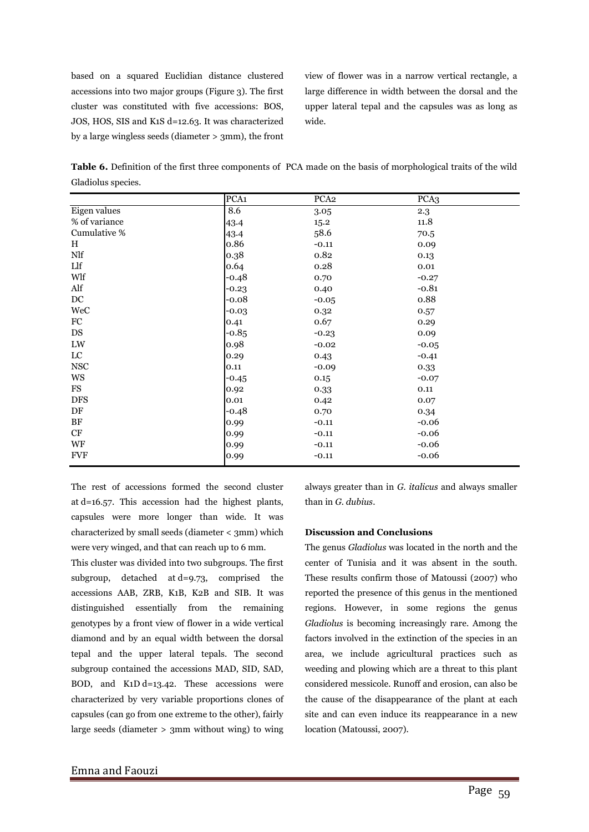based on a squared Euclidian distance clustered accessions into two major groups (Figure 3). The first cluster was constituted with five accessions: BOS, JOS, HOS, SIS and K1S d=12.63. It was characterized by a large wingless seeds (diameter > 3mm), the front view of flower was in a narrow vertical rectangle, a large difference in width between the dorsal and the upper lateral tepal and the capsules was as long as wide.

**Table 6.** Definition of the first three components of PCA made on the basis of morphological traits of the wild Gladiolus species.

|               | PCA <sub>1</sub> | PCA <sub>2</sub> | PCA3     |
|---------------|------------------|------------------|----------|
| Eigen values  | 8.6              | 3.05             | 2.3      |
| % of variance | 43.4             | 15.2             | 11.8     |
| Cumulative %  | 43.4             | 58.6             | 70.5     |
| H             | 0.86             | $-0.11$          | 0.09     |
| Nlf           | 0.38             | 0.82             | 0.13     |
| Llf           | 0.64             | 0.28             | $0.01\,$ |
| Wlf           | $-0.48$          | 0.70             | $-0.27$  |
| Alf           | $-0.23$          | 0.40             | $-0.81$  |
| DC            | $-0.08$          | $-0.05$          | 0.88     |
| WeC           | $-0.03$          | 0.32             | 0.57     |
| ${\rm FC}$    | 0.41             | 0.67             | 0.29     |
| DS            | $-0.85$          | $-0.23$          | 0.09     |
| LW            | 0.98             | $-0.02$          | $-0.05$  |
| $_{\rm LC}$   | 0.29             | 0.43             | $-0.41$  |
| <b>NSC</b>    | 0.11             | $-0.09$          | 0.33     |
| WS            | $-0.45$          | 0.15             | $-0.07$  |
| FS            | 0.92             | 0.33             | 0.11     |
| <b>DFS</b>    | 0.01             | 0.42             | 0.07     |
| DF            | $-0.48$          | 0.70             | 0.34     |
| BF            | 0.99             | $-0.11$          | $-0.06$  |
| CF            | 0.99             | $-0.11$          | $-0.06$  |
| WF            | 0.99             | $-0.11$          | $-0.06$  |
| <b>FVF</b>    | 0.99             | $-0.11$          | $-0.06$  |

The rest of accessions formed the second cluster at d=16.57. This accession had the highest plants, capsules were more longer than wide. It was characterized by small seeds (diameter < 3mm) which were very winged, and that can reach up to 6 mm.

This cluster was divided into two subgroups. The first subgroup, detached at d=9.73, comprised the accessions AAB, ZRB, K1B, K2B and SIB. It was distinguished essentially from the remaining genotypes by a front view of flower in a wide vertical diamond and by an equal width between the dorsal tepal and the upper lateral tepals. The second subgroup contained the accessions MAD, SID, SAD, BOD, and K1D d=13.42. These accessions were characterized by very variable proportions clones of capsules (can go from one extreme to the other), fairly large seeds (diameter > 3mm without wing) to wing

always greater than in *G. italicus* and always smaller than in *G. dubius*.

## **Discussion and Conclusions**

The genus *Gladiolus* was located in the north and the center of Tunisia and it was absent in the south. These results confirm those of Matoussi (2007) who reported the presence of this genus in the mentioned regions. However, in some regions the genus *Gladiolus* is becoming increasingly rare. Among the factors involved in the extinction of the species in an area, we include agricultural practices such as weeding and plowing which are a threat to this plant considered messicole. Runoff and erosion, can also be the cause of the disappearance of the plant at each site and can even induce its reappearance in a new location (Matoussi, 2007).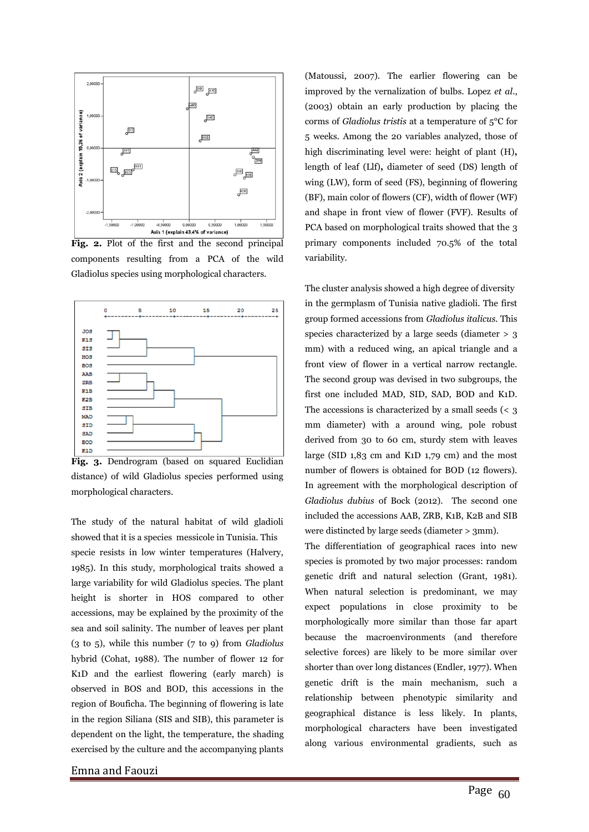

**Fig. 2.** Plot of the first and the second principal components resulting from a PCA of the wild Gladiolus species using morphological characters.



Fig. 3. Dendrogram (based on squared Euclidian distance) of wild Gladiolus species performed using morphological characters.

The study of the natural habitat of wild gladioli showed that it is a species messicole in Tunisia. This specie resists in low winter temperatures (Halvery, 1985). In this study, morphological traits showed a large variability for wild Gladiolus species. The plant height is shorter in HOS compared to other accessions, may be explained by the proximity of the sea and soil salinity. The number of leaves per plant (3 to 5), while this number (7 to 9) from *Gladiolus* hybrid (Cohat, 1988). The number of flower 12 for K1D and the earliest flowering (early march) is observed in BOS and BOD, this accessions in the region of Bouficha. The beginning of flowering is late in the region Siliana (SIS and SIB), this parameter is dependent on the light, the temperature, the shading exercised by the culture and the accompanying plants

Emna and Faouzi

(Matoussi, 2007). The earlier flowering can be improved by the vernalization of bulbs. Lopez *et al*., (2003) obtain an early production by placing the corms of *Gladiolus tristis* at a temperature of 5°C for 5 weeks. Among the 20 variables analyzed, those of high discriminating level were: height of plant (H)**,**  length of leaf (Llf)**,** diameter of seed (DS) length of wing (LW), form of seed (FS), beginning of flowering (BF), main color of flowers (CF), width of flower (WF) and shape in front view of flower (FVF). Results of PCA based on morphological traits showed that the 3 primary components included 70.5% of the total variability.

The cluster analysis showed a high degree of diversity in the germplasm of Tunisia native gladioli. The first group formed accessions from *Gladiolus italicus.* This species characterized by a large seeds (diameter > 3 mm) with a reduced wing, an apical triangle and a front view of flower in a vertical narrow rectangle. The second group was devised in two subgroups, the first one included MAD, SID, SAD, BOD and K1D. The accessions is characterized by a small seeds (< 3 mm diameter) with a around wing, pole robust derived from 30 to 60 cm, sturdy stem with leaves large (SID 1,83 cm and K1D 1,79 cm) and the most number of flowers is obtained for BOD (12 flowers). In agreement with the morphological description of *Gladiolus dubius* of Bock (2012). The second one included the accessions AAB, ZRB, K1B, K2B and SIB were distincted by large seeds (diameter > 3mm).

The differentiation of geographical races into new species is promoted by two major processes: random genetic drift and natural selection (Grant, 1981). When natural selection is predominant, we may expect populations in close proximity to be morphologically more similar than those far apart because the macroenvironments (and therefore selective forces) are likely to be more similar over shorter than over long distances (Endler, 1977). When genetic drift is the main mechanism, such a relationship between phenotypic similarity and geographical distance is less likely. In plants, morphological characters have been investigated along various environmental gradients, such as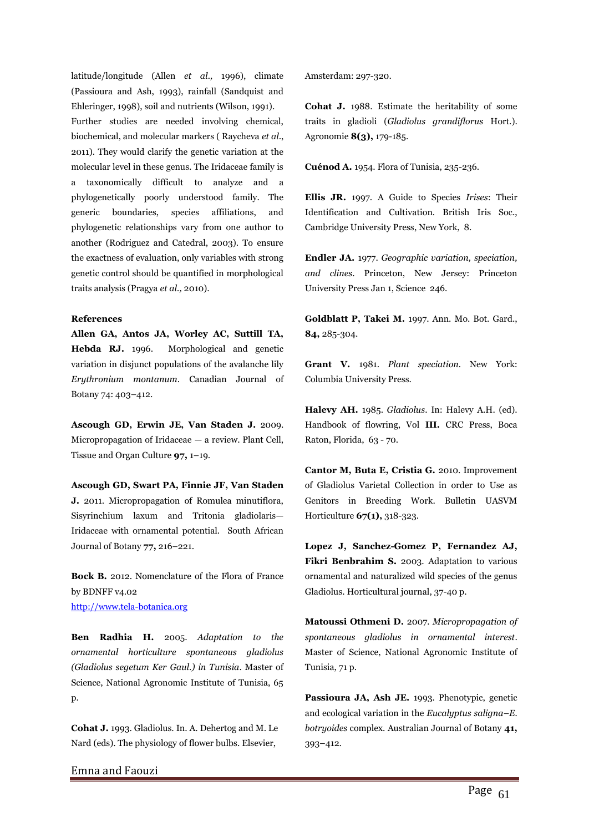latitude/longitude (Allen *et al.,* 1996), climate (Passioura and Ash, 1993), rainfall (Sandquist and Ehleringer, 1998), soil and nutrients (Wilson, 1991). Further studies are needed involving chemical, biochemical, and molecular markers ( Raycheva *et al*., 2011). They would clarify the genetic variation at the molecular level in these genus. The Iridaceae family is a taxonomically difficult to analyze and a phylogenetically poorly understood family. The generic boundaries, species affiliations, and phylogenetic relationships vary from one author to another (Rodriguez and Catedral, 2003). To ensure the exactness of evaluation, only variables with strong genetic control should be quantified in morphological traits analysis (Pragya *et al.,* 2010).

## **References**

**Allen GA, Antos JA, Worley AC, Suttill TA, Hebda RJ.** 1996. Morphological and genetic variation in disjunct populations of the avalanche lily *Erythronium montanum*. Canadian Journal of Botany 74: 403–412.

**Ascough GD, Erwin JE, Van Staden J.** 2009. Micropropagation of Iridaceae — a review. Plant Cell, Tissue and Organ Culture **97,** 1–19.

**Ascough GD, Swart PA, Finnie JF, Van Staden J.** 2011. Micropropagation of Romulea minutiflora, Sisyrinchium laxum and Tritonia gladiolaris— Iridaceae with ornamental potential. South African Journal of Botany **77,** 216–221.

**Bock B.** 2012. Nomenclature of the Flora of France by BDNFF v4.02 [http://www.tela-botanica.org](http://www.tela-botanica.org/)

**Ben Radhia H.** 2005. *Adaptation to the ornamental horticulture spontaneous gladiolus (Gladiolus segetum Ker Gaul.) in Tunisia*. Master of Science, National Agronomic Institute of Tunisia, 65 p.

**Cohat J.** 1993. Gladiolus. In. A. Dehertog and M. Le Nard (eds). The physiology of flower bulbs. Elsevier,

Amsterdam: 297-320.

**Cohat J.** 1988. Estimate the heritability of some traits in gladioli (*Gladiolus grandiflorus* Hort.). Agronomie **8(3),** 179-185.

**Cuénod A.** 1954. Flora of Tunisia, 235-236.

**Ellis JR.** 1997. A Guide to Species *Irises*: Their Identification and Cultivation. British Iris Soc., Cambridge University Press, New York, 8.

**Endler JA.** 1977. *Geographic variation, speciation, and clines*. Princeton, New Jersey: Princeton University Press Jan 1, Science 246.

**Goldblatt P, Takei M.** 1997. Ann. Mo. Bot. Gard., **84,** 285-304.

**Grant V.** 1981. *Plant speciation*. New York: Columbia University Press.

**Halevy AH.** 1985. *Gladiolus*. In: Halevy A.H. (ed). Handbook of flowring, Vol **III.** CRC Press, Boca Raton, Florida, 63 - 70.

**Cantor M, Buta E, Cristia G.** 2010. Improvement of Gladiolus Varietal Collection in order to Use as Genitors in Breeding Work. Bulletin UASVM Horticulture **67(1),** 318-323.

**Lopez J, Sanchez-Gomez P, Fernandez AJ, Fikri Benbrahim S.** 2003. Adaptation to various ornamental and naturalized wild species of the genus Gladiolus. Horticultural journal, 37-40 p.

**Matoussi Othmeni D.** 2007. *Micropropagation of spontaneous gladiolus in ornamental interest*. Master of Science, National Agronomic Institute of Tunisia, 71 p.

**Passioura JA, Ash JE.** 1993. Phenotypic, genetic and ecological variation in the *Eucalyptus saligna–E. botryoides* complex. Australian Journal of Botany **41,** 393–412.

Emna and Faouzi